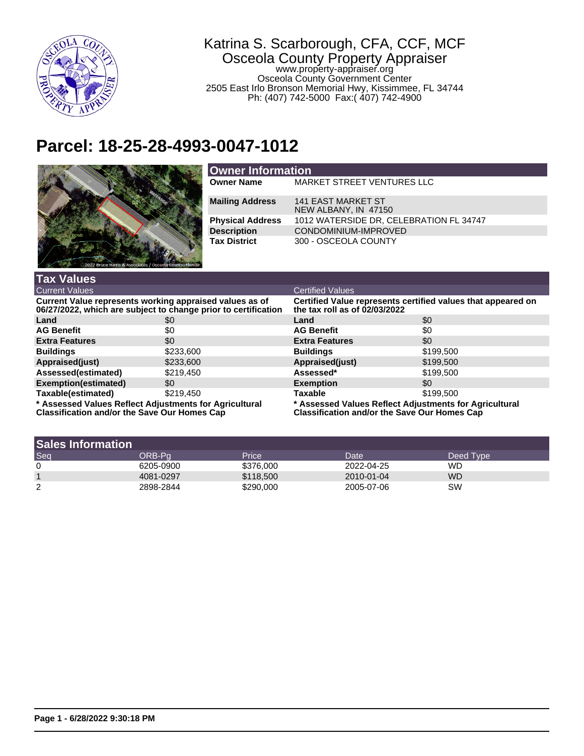

## Katrina S. Scarborough, CFA, CCF, MCF Osceola County Property Appraiser www.property-appraiser.org

Osceola County Government Center 2505 East Irlo Bronson Memorial Hwy, Kissimmee, FL 34744 Ph: (407) 742-5000 Fax:( 407) 742-4900

## **Parcel: 18-25-28-4993-0047-1012**



| <b>Owner Information</b> |                                                   |  |
|--------------------------|---------------------------------------------------|--|
| <b>Owner Name</b>        | MARKET STREET VENTURES LLC                        |  |
| <b>Mailing Address</b>   | <b>141 EAST MARKET ST</b><br>NEW ALBANY, IN 47150 |  |
| <b>Physical Address</b>  | 1012 WATERSIDE DR, CELEBRATION FL 34747           |  |
| <b>Description</b>       | CONDOMINIUM-IMPROVED                              |  |
| <b>Tax District</b>      | 300 - OSCEOLA COUNTY                              |  |

| <b>Tax Values</b>                                                                                                         |           |                                                                                                         |           |  |
|---------------------------------------------------------------------------------------------------------------------------|-----------|---------------------------------------------------------------------------------------------------------|-----------|--|
| <b>Current Values</b>                                                                                                     |           | <b>Certified Values</b>                                                                                 |           |  |
| Current Value represents working appraised values as of<br>06/27/2022, which are subject to change prior to certification |           | Certified Value represents certified values that appeared on<br>the tax roll as of $02/03/2022$         |           |  |
| Land                                                                                                                      | \$0       | Land                                                                                                    | \$0       |  |
| <b>AG Benefit</b>                                                                                                         | \$0       | <b>AG Benefit</b>                                                                                       | \$0       |  |
| <b>Extra Features</b>                                                                                                     | \$0       | <b>Extra Features</b>                                                                                   | \$0       |  |
| <b>Buildings</b>                                                                                                          | \$233,600 | <b>Buildings</b>                                                                                        | \$199,500 |  |
| Appraised(just)                                                                                                           | \$233,600 | Appraised(just)                                                                                         | \$199,500 |  |
| Assessed(estimated)                                                                                                       | \$219.450 | Assessed*                                                                                               | \$199,500 |  |
| Exemption(estimated)                                                                                                      | \$0       | <b>Exemption</b>                                                                                        | \$0       |  |
| Taxable(estimated)                                                                                                        | \$219.450 | <b>Taxable</b>                                                                                          | \$199,500 |  |
| * Assessed Values Reflect Adjustments for Agricultural<br>Classification and/or the Cause Our Homes Can                   |           | * Assessed Values Reflect Adjustments for Agricultural<br>Classification and/or the Cause Our Homes Can |           |  |

**Classification and/or the Save Our Homes Cap**

**Classification and/or the Save Our Homes Cap**

| <b>Sales Information</b> |           |           |            |           |
|--------------------------|-----------|-----------|------------|-----------|
| Seq                      | ORB-Pa    | Price     | Date       | Deed Type |
| 0                        | 6205-0900 | \$376,000 | 2022-04-25 | WD        |
|                          | 4081-0297 | \$118,500 | 2010-01-04 | <b>WD</b> |
| 2                        | 2898-2844 | \$290,000 | 2005-07-06 | SW        |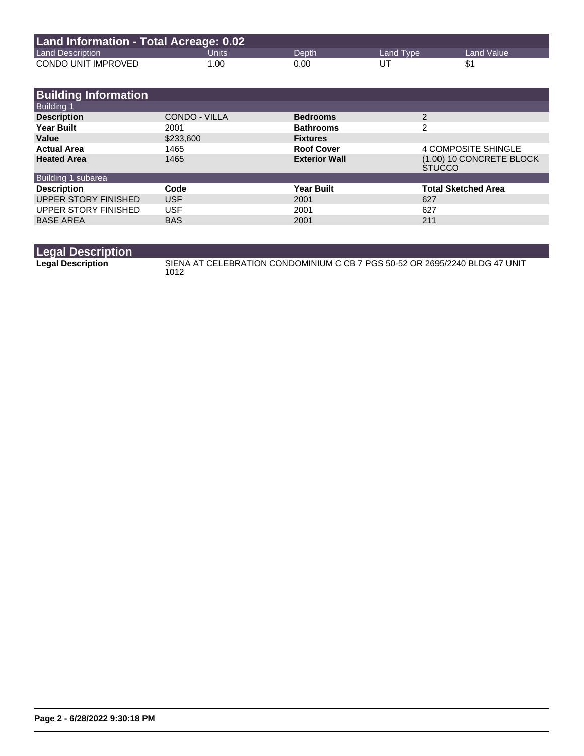| Land Information - Total Acreage: 0.02 |       |       |           |              |
|----------------------------------------|-------|-------|-----------|--------------|
| <b>Land Description</b>                | Units | Depth | Land Type | Land Value \ |
| CONDO UNIT IMPROVED                    | 1.00  | 0.00  | UT        |              |

| <b>Building Information</b> |               |                      |                                           |
|-----------------------------|---------------|----------------------|-------------------------------------------|
| <b>Building 1</b>           |               |                      |                                           |
| <b>Description</b>          | CONDO - VILLA | <b>Bedrooms</b>      | 2                                         |
| <b>Year Built</b>           | 2001          | <b>Bathrooms</b>     | $\mathfrak{p}$                            |
| Value                       | \$233,600     | <b>Fixtures</b>      |                                           |
| <b>Actual Area</b>          | 1465          | <b>Roof Cover</b>    | <b>4 COMPOSITE SHINGLE</b>                |
| <b>Heated Area</b>          | 1465          | <b>Exterior Wall</b> | (1.00) 10 CONCRETE BLOCK<br><b>STUCCO</b> |
| Building 1 subarea          |               |                      |                                           |
| <b>Description</b>          | Code          | <b>Year Built</b>    | <b>Total Sketched Area</b>                |
| UPPER STORY FINISHED        | <b>USF</b>    | 2001                 | 627                                       |
| UPPER STORY FINISHED        | <b>USF</b>    | 2001                 | 627                                       |
| <b>BASE AREA</b>            | <b>BAS</b>    | 2001                 | 211                                       |

| <b>Legal Description</b> |                                                                                     |
|--------------------------|-------------------------------------------------------------------------------------|
| <b>Legal Description</b> | SIENA AT CELEBRATION CONDOMINIUM C CB 7 PGS 50-52 OR 2695/2240 BLDG 47 UNIT<br>1012 |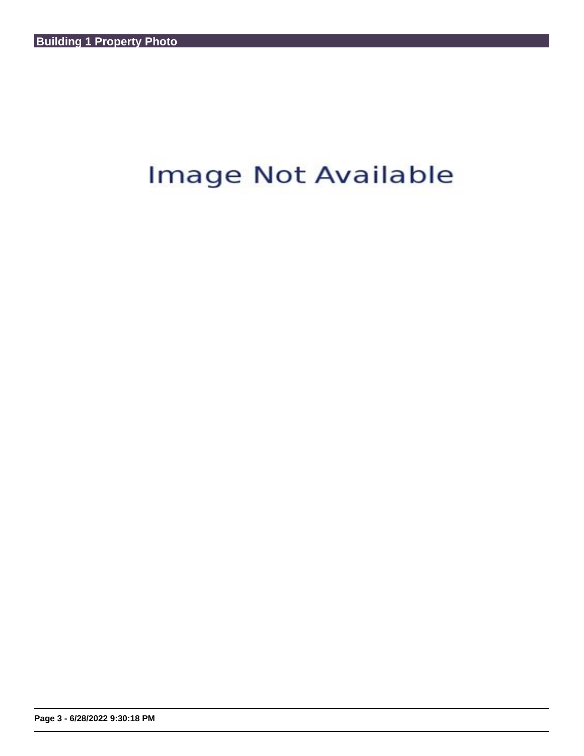## Image Not Available